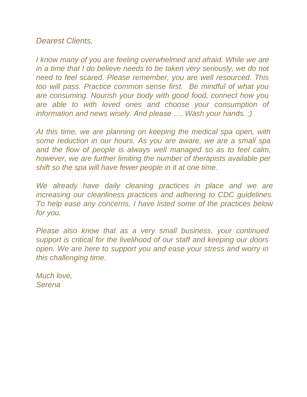## *Dearest Clients,*

*I know many of you are feeling overwhelmed and afraid. While we are in a time that I do believe needs to be taken very seriously, we do not need to feel scared. Please remember, you are well resourced. This too will pass. Practice common sense first. Be mindful of what you are consuming. Nourish your body with good food, connect how you are able to with loved ones and choose your consumption of information and news wisely. And please …. Wash your hands. :)*

*At this time, we are planning on keeping the medical spa open, with some reduction in our hours. As you are aware, we are a small spa and the flow of people is always well managed so as to feel calm, however, we are further limiting the number of therapists available per shift so the spa will have fewer people in it at one time.*

We already have daily cleaning practices in place and we are *increasing our cleanliness practices and adhering to CDC guidelines. To help ease any concerns, I have listed some of the practices below for you.*

*Please also know that as a very small business, your continued support is critical for the livelihood of our staff and keeping our doors open. We are here to support you and ease your stress and worry in this challenging time.*

*Much love, Serena*